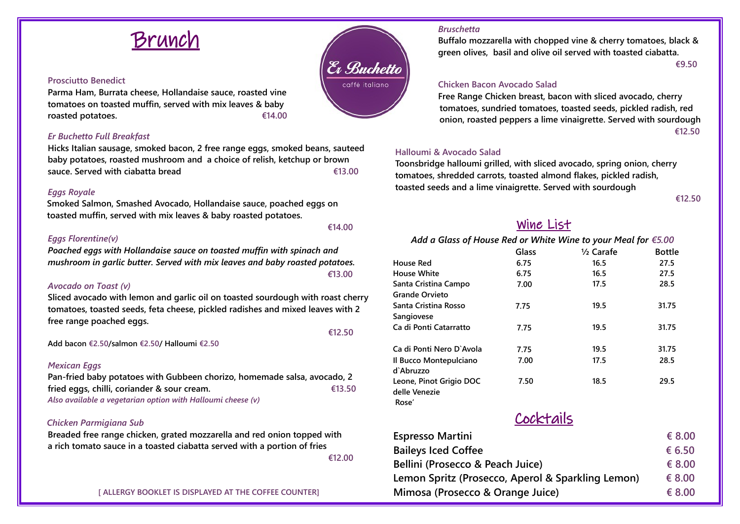

#### **Prosciutto Benedict**

**Parma Ham, Burrata cheese, Hollandaise sauce, roasted vine tomatoes on toasted muffin, served with mix leaves & baby roasted potatoes. €14.00**

#### *Er Buchetto Full Breakfast*

**Hicks Italian sausage, smoked bacon, 2 free range eggs, smoked beans, sauteed baby potatoes, roasted mushroom and a choice of relish, ketchup or brown sauce. Served with ciabatta bread €13.00**

#### *Eggs Royale*

**Smoked Salmon, Smashed Avocado, Hollandaise sauce, poached eggs on toasted muffin, served with mix leaves & baby roasted potatoes.** 

### *Eggs Florentine(v)*

*Poached eggs with Hollandaise sauce on toasted muffin with spinach and mushroom in garlic butter. Served with mix leaves and baby roasted potatoes. €***13.00**

 **€14.00**

#### *Avocado on Toast (v)*

**Sliced avocado with lemon and garlic oil on toasted sourdough with roast cherry tomatoes, toasted seeds, feta cheese, pickled radishes and mixed leaves with 2 free range poached eggs.** 

 **€12.50**

**Add bacon €2.50/salmon €2.50/ Halloumi €2.50**

#### *Mexican Eggs*

**Pan-fried baby potatoes with Gubbeen chorizo, homemade salsa, avocado, 2 fried eggs, chilli, coriander & sour cream. €13.50** *Also available a vegetarian option with Halloumi cheese (v)*

#### *Chicken Parmigiana Sub*

**Breaded free range chicken, grated mozzarella and red onion topped with a rich tomato sauce in a toasted ciabatta served with a portion of fries €12.00**

**[ ALLERGY BOOKLET IS DISPLAYED AT THE COFFEE COUNTER]**



#### *Bruschetta*

**Buffalo mozzarella with chopped vine & cherry tomatoes, black & green olives, basil and olive oil served with toasted ciabatta. €9.50**

#### **Chicken Bacon Avocado Salad**

**Free Range Chicken breast, bacon with sliced avocado, cherry tomatoes, sundried tomatoes, toasted seeds, pickled radish, red onion, roasted peppers a lime vinaigrette. Served with sourdough €12.50**

#### **Halloumi & Avocado Salad**

**Toonsbridge halloumi grilled, with sliced avocado, spring onion, cherry tomatoes, shredded carrots, toasted almond flakes, pickled radish, toasted seeds and a lime vinaigrette. Served with sourdough** 

**€12.50**

# Wine List

## *Add a Glass of House Red or White Wine to your Meal for €5.00*

**Glass ½ Carafe Bottle House Red 6.75 16.5 27.5 House White 6.75 16.5 27.5 Santa Cristina Campo Grande Orvieto 7.00 17.5 28.5 Santa Cristina Rosso Sangiovese 7.75 19.5 31.75 Ca di Ponti Catarratto 7.75 19.5 31.75 Ca di Ponti Nero D`Avola 7.75 19.5 31.75 Il Bucco Montepulciano 7.00 17.5 28.5 d`Abruzzo Leone, Pinot Grigio DOC delle Venezie 7.50 18.5 29.5 Rose'** Cocktails  **Espresso Martini € 8.00 Baileys Iced Coffee € 6.50 Bellini (Prosecco & Peach Juice) € 8.00 Lemon Spritz (Prosecco, Aperol & Sparkling Lemon) € 8.00**

 **Mimosa (Prosecco & Orange Juice) € 8.00**

& Buchetto caffé italiano